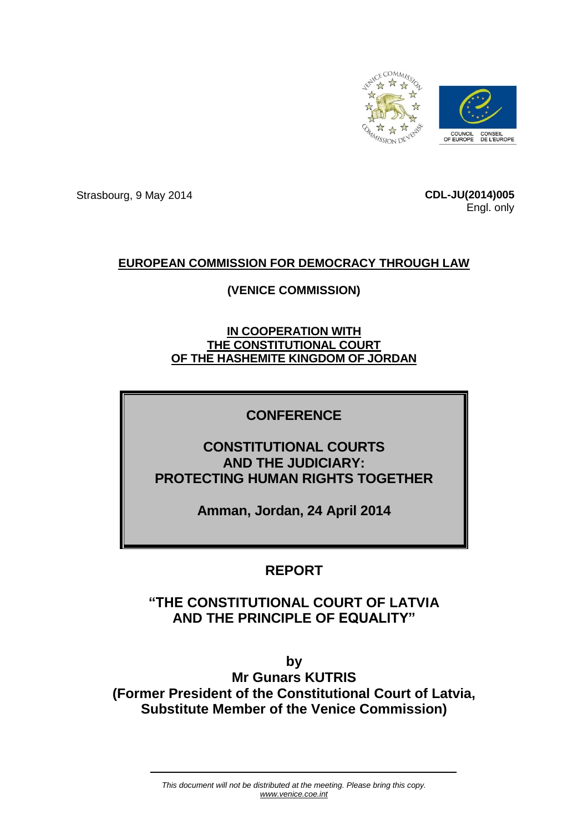

Strasbourg, 9 May 2014 **CDL-JU(2014)005**

Engl. only

## **EUROPEAN COMMISSION FOR DEMOCRACY THROUGH LAW**

## **(VENICE COMMISSION)**

**IN COOPERATION WITH THE CONSTITUTIONAL COURT OF THE HASHEMITE KINGDOM OF JORDAN**

# **CONFERENCE**

**CONSTITUTIONAL COURTS AND THE JUDICIARY: PROTECTING HUMAN RIGHTS TOGETHER**

**Amman, Jordan, 24 April 2014**

# **REPORT**

# **"THE CONSTITUTIONAL COURT OF LATVIA AND THE PRINCIPLE OF EQUALITY"**

**by Mr Gunars KUTRIS (Former President of the Constitutional Court of Latvia, Substitute Member of the Venice Commission)**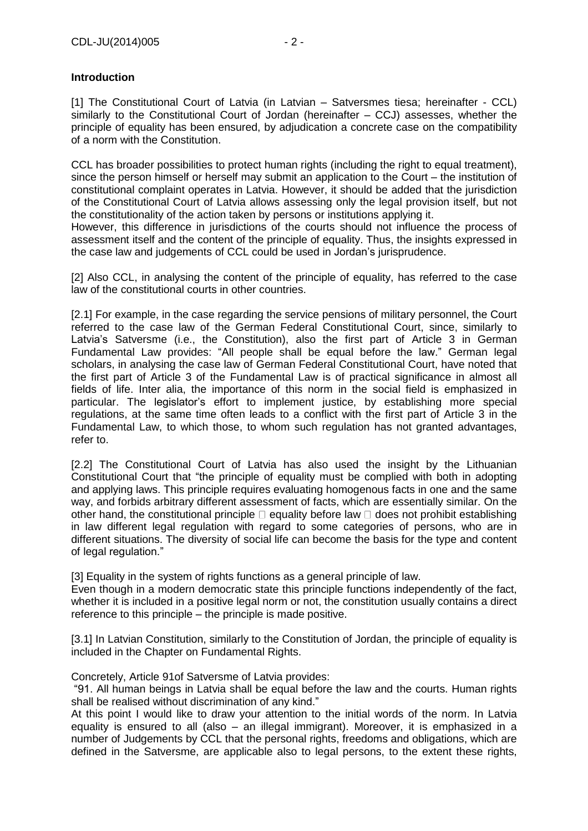### **Introduction**

[1] The Constitutional Court of Latvia (in Latvian – Satversmes tiesa; hereinafter - CCL) similarly to the Constitutional Court of Jordan (hereinafter – CCJ) assesses, whether the principle of equality has been ensured, by adjudication a concrete case on the compatibility of a norm with the Constitution.

CCL has broader possibilities to protect human rights (including the right to equal treatment), since the person himself or herself may submit an application to the Court – the institution of constitutional complaint operates in Latvia. However, it should be added that the jurisdiction of the Constitutional Court of Latvia allows assessing only the legal provision itself, but not the constitutionality of the action taken by persons or institutions applying it.

However, this difference in jurisdictions of the courts should not influence the process of assessment itself and the content of the principle of equality. Thus, the insights expressed in the case law and judgements of CCL could be used in Jordan's jurisprudence.

[2] Also CCL, in analysing the content of the principle of equality, has referred to the case law of the constitutional courts in other countries.

[2.1] For example, in the case regarding the service pensions of military personnel, the Court referred to the case law of the German Federal Constitutional Court, since, similarly to Latvia's Satversme (i.e., the Constitution), also the first part of Article 3 in German Fundamental Law provides: "All people shall be equal before the law." German legal scholars, in analysing the case law of German Federal Constitutional Court, have noted that the first part of Article 3 of the Fundamental Law is of practical significance in almost all fields of life. Inter alia, the importance of this norm in the social field is emphasized in particular. The legislator's effort to implement justice, by establishing more special regulations, at the same time often leads to a conflict with the first part of Article 3 in the Fundamental Law, to which those, to whom such regulation has not granted advantages, refer to.

[2.2] The Constitutional Court of Latvia has also used the insight by the Lithuanian Constitutional Court that "the principle of equality must be complied with both in adopting and applying laws. This principle requires evaluating homogenous facts in one and the same way, and forbids arbitrary different assessment of facts, which are essentially similar. On the other hand, the constitutional principle  $\Box$  equality before law  $\Box$  does not prohibit establishing in law different legal regulation with regard to some categories of persons, who are in different situations. The diversity of social life can become the basis for the type and content of legal regulation."

[3] Equality in the system of rights functions as a general principle of law.

Even though in a modern democratic state this principle functions independently of the fact, whether it is included in a positive legal norm or not, the constitution usually contains a direct reference to this principle – the principle is made positive.

[3.1] In Latvian Constitution, similarly to the Constitution of Jordan, the principle of equality is included in the Chapter on Fundamental Rights.

Concretely, Article 91of Satversme of Latvia provides:

"91. All human beings in Latvia shall be equal before the law and the courts. Human rights shall be realised without discrimination of any kind."

At this point I would like to draw your attention to the initial words of the norm. In Latvia equality is ensured to all (also – an illegal immigrant). Moreover, it is emphasized in a number of Judgements by CCL that the personal rights, freedoms and obligations, which are defined in the Satversme, are applicable also to legal persons, to the extent these rights,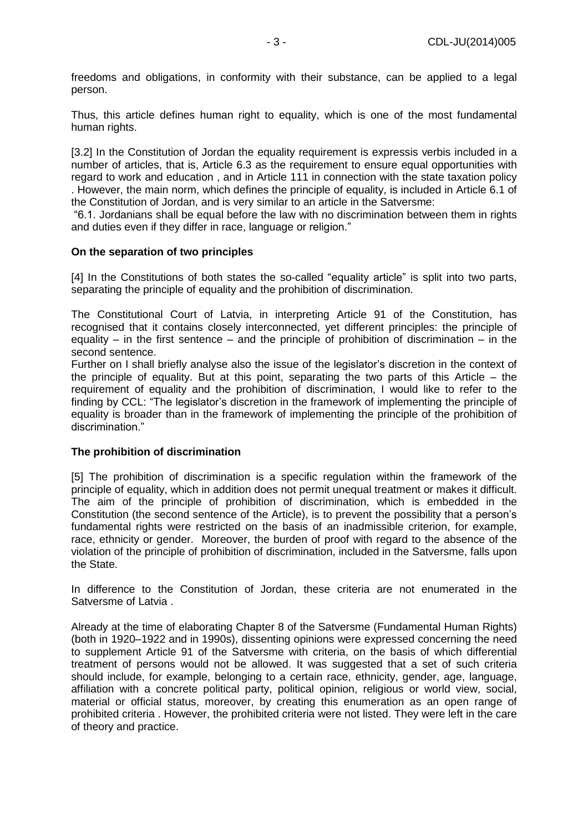freedoms and obligations, in conformity with their substance, can be applied to a legal person.

Thus, this article defines human right to equality, which is one of the most fundamental human rights.

[3.2] In the Constitution of Jordan the equality requirement is expressis verbis included in a number of articles, that is, Article 6.3 as the requirement to ensure equal opportunities with regard to work and education , and in Article 111 in connection with the state taxation policy . However, the main norm, which defines the principle of equality, is included in Article 6.1 of the Constitution of Jordan, and is very similar to an article in the Satversme:

"6.1. Jordanians shall be equal before the law with no discrimination between them in rights and duties even if they differ in race, language or religion."

#### **On the separation of two principles**

[4] In the Constitutions of both states the so-called "equality article" is split into two parts, separating the principle of equality and the prohibition of discrimination.

The Constitutional Court of Latvia, in interpreting Article 91 of the Constitution, has recognised that it contains closely interconnected, yet different principles: the principle of equality – in the first sentence – and the principle of prohibition of discrimination – in the second sentence.

Further on I shall briefly analyse also the issue of the legislator's discretion in the context of the principle of equality. But at this point, separating the two parts of this Article – the requirement of equality and the prohibition of discrimination, I would like to refer to the finding by CCL: "The legislator's discretion in the framework of implementing the principle of equality is broader than in the framework of implementing the principle of the prohibition of discrimination."

#### **The prohibition of discrimination**

[5] The prohibition of discrimination is a specific regulation within the framework of the principle of equality, which in addition does not permit unequal treatment or makes it difficult. The aim of the principle of prohibition of discrimination, which is embedded in the Constitution (the second sentence of the Article), is to prevent the possibility that a person's fundamental rights were restricted on the basis of an inadmissible criterion, for example, race, ethnicity or gender. Moreover, the burden of proof with regard to the absence of the violation of the principle of prohibition of discrimination, included in the Satversme, falls upon the State.

In difference to the Constitution of Jordan, these criteria are not enumerated in the Satversme of Latvia .

Already at the time of elaborating Chapter 8 of the Satversme (Fundamental Human Rights) (both in 1920–1922 and in 1990s), dissenting opinions were expressed concerning the need to supplement Article 91 of the Satversme with criteria, on the basis of which differential treatment of persons would not be allowed. It was suggested that a set of such criteria should include, for example, belonging to a certain race, ethnicity, gender, age, language, affiliation with a concrete political party, political opinion, religious or world view, social, material or official status, moreover, by creating this enumeration as an open range of prohibited criteria . However, the prohibited criteria were not listed. They were left in the care of theory and practice.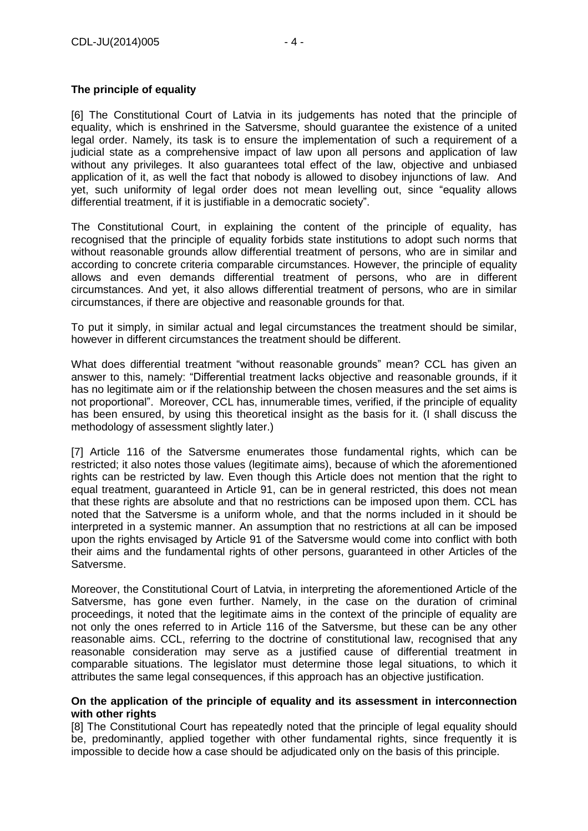### **The principle of equality**

[6] The Constitutional Court of Latvia in its judgements has noted that the principle of equality, which is enshrined in the Satversme, should guarantee the existence of a united legal order. Namely, its task is to ensure the implementation of such a requirement of a judicial state as a comprehensive impact of law upon all persons and application of law without any privileges. It also guarantees total effect of the law, objective and unbiased application of it, as well the fact that nobody is allowed to disobey injunctions of law. And yet, such uniformity of legal order does not mean levelling out, since "equality allows differential treatment, if it is justifiable in a democratic society".

The Constitutional Court, in explaining the content of the principle of equality, has recognised that the principle of equality forbids state institutions to adopt such norms that without reasonable grounds allow differential treatment of persons, who are in similar and according to concrete criteria comparable circumstances. However, the principle of equality allows and even demands differential treatment of persons, who are in different circumstances. And yet, it also allows differential treatment of persons, who are in similar circumstances, if there are objective and reasonable grounds for that.

To put it simply, in similar actual and legal circumstances the treatment should be similar, however in different circumstances the treatment should be different.

What does differential treatment "without reasonable grounds" mean? CCL has given an answer to this, namely: "Differential treatment lacks objective and reasonable grounds, if it has no legitimate aim or if the relationship between the chosen measures and the set aims is not proportional". Moreover, CCL has, innumerable times, verified, if the principle of equality has been ensured, by using this theoretical insight as the basis for it. (I shall discuss the methodology of assessment slightly later.)

[7] Article 116 of the Satversme enumerates those fundamental rights, which can be restricted; it also notes those values (legitimate aims), because of which the aforementioned rights can be restricted by law. Even though this Article does not mention that the right to equal treatment, guaranteed in Article 91, can be in general restricted, this does not mean that these rights are absolute and that no restrictions can be imposed upon them. CCL has noted that the Satversme is a uniform whole, and that the norms included in it should be interpreted in a systemic manner. An assumption that no restrictions at all can be imposed upon the rights envisaged by Article 91 of the Satversme would come into conflict with both their aims and the fundamental rights of other persons, guaranteed in other Articles of the Satversme.

Moreover, the Constitutional Court of Latvia, in interpreting the aforementioned Article of the Satversme, has gone even further. Namely, in the case on the duration of criminal proceedings, it noted that the legitimate aims in the context of the principle of equality are not only the ones referred to in Article 116 of the Satversme, but these can be any other reasonable aims. CCL, referring to the doctrine of constitutional law, recognised that any reasonable consideration may serve as a justified cause of differential treatment in comparable situations. The legislator must determine those legal situations, to which it attributes the same legal consequences, if this approach has an objective justification.

#### **On the application of the principle of equality and its assessment in interconnection with other rights**

[8] The Constitutional Court has repeatedly noted that the principle of legal equality should be, predominantly, applied together with other fundamental rights, since frequently it is impossible to decide how a case should be adjudicated only on the basis of this principle.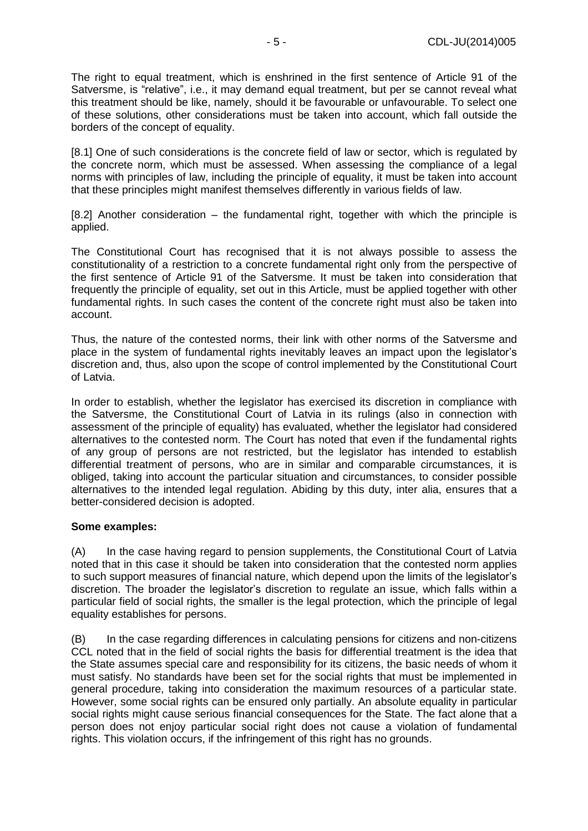The right to equal treatment, which is enshrined in the first sentence of Article 91 of the Satversme, is "relative", i.e., it may demand equal treatment, but per se cannot reveal what this treatment should be like, namely, should it be favourable or unfavourable. To select one of these solutions, other considerations must be taken into account, which fall outside the borders of the concept of equality.

[8.1] One of such considerations is the concrete field of law or sector, which is regulated by the concrete norm, which must be assessed. When assessing the compliance of a legal norms with principles of law, including the principle of equality, it must be taken into account that these principles might manifest themselves differently in various fields of law.

[8.2] Another consideration – the fundamental right, together with which the principle is applied.

The Constitutional Court has recognised that it is not always possible to assess the constitutionality of a restriction to a concrete fundamental right only from the perspective of the first sentence of Article 91 of the Satversme. It must be taken into consideration that frequently the principle of equality, set out in this Article, must be applied together with other fundamental rights. In such cases the content of the concrete right must also be taken into account.

Thus, the nature of the contested norms, their link with other norms of the Satversme and place in the system of fundamental rights inevitably leaves an impact upon the legislator's discretion and, thus, also upon the scope of control implemented by the Constitutional Court of Latvia.

In order to establish, whether the legislator has exercised its discretion in compliance with the Satversme, the Constitutional Court of Latvia in its rulings (also in connection with assessment of the principle of equality) has evaluated, whether the legislator had considered alternatives to the contested norm. The Court has noted that even if the fundamental rights of any group of persons are not restricted, but the legislator has intended to establish differential treatment of persons, who are in similar and comparable circumstances, it is obliged, taking into account the particular situation and circumstances, to consider possible alternatives to the intended legal regulation. Abiding by this duty, inter alia, ensures that a better-considered decision is adopted.

### **Some examples:**

(A) In the case having regard to pension supplements, the Constitutional Court of Latvia noted that in this case it should be taken into consideration that the contested norm applies to such support measures of financial nature, which depend upon the limits of the legislator's discretion. The broader the legislator's discretion to regulate an issue, which falls within a particular field of social rights, the smaller is the legal protection, which the principle of legal equality establishes for persons.

(B) In the case regarding differences in calculating pensions for citizens and non-citizens CCL noted that in the field of social rights the basis for differential treatment is the idea that the State assumes special care and responsibility for its citizens, the basic needs of whom it must satisfy. No standards have been set for the social rights that must be implemented in general procedure, taking into consideration the maximum resources of a particular state. However, some social rights can be ensured only partially. An absolute equality in particular social rights might cause serious financial consequences for the State. The fact alone that a person does not enjoy particular social right does not cause a violation of fundamental rights. This violation occurs, if the infringement of this right has no grounds.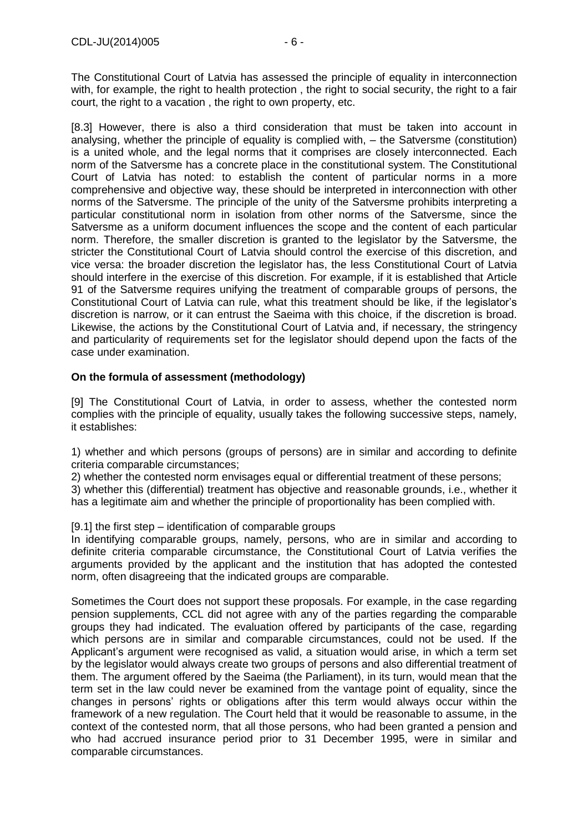The Constitutional Court of Latvia has assessed the principle of equality in interconnection with, for example, the right to health protection, the right to social security, the right to a fair court, the right to a vacation , the right to own property, etc.

[8.3] However, there is also a third consideration that must be taken into account in analysing, whether the principle of equality is complied with, – the Satversme (constitution) is a united whole, and the legal norms that it comprises are closely interconnected. Each norm of the Satversme has a concrete place in the constitutional system. The Constitutional Court of Latvia has noted: to establish the content of particular norms in a more comprehensive and objective way, these should be interpreted in interconnection with other norms of the Satversme. The principle of the unity of the Satversme prohibits interpreting a particular constitutional norm in isolation from other norms of the Satversme, since the Satversme as a uniform document influences the scope and the content of each particular norm. Therefore, the smaller discretion is granted to the legislator by the Satversme, the stricter the Constitutional Court of Latvia should control the exercise of this discretion, and vice versa: the broader discretion the legislator has, the less Constitutional Court of Latvia should interfere in the exercise of this discretion. For example, if it is established that Article 91 of the Satversme requires unifying the treatment of comparable groups of persons, the Constitutional Court of Latvia can rule, what this treatment should be like, if the legislator's discretion is narrow, or it can entrust the Saeima with this choice, if the discretion is broad. Likewise, the actions by the Constitutional Court of Latvia and, if necessary, the stringency and particularity of requirements set for the legislator should depend upon the facts of the case under examination.

### **On the formula of assessment (methodology)**

[9] The Constitutional Court of Latvia, in order to assess, whether the contested norm complies with the principle of equality, usually takes the following successive steps, namely, it establishes:

1) whether and which persons (groups of persons) are in similar and according to definite criteria comparable circumstances;

2) whether the contested norm envisages equal or differential treatment of these persons; 3) whether this (differential) treatment has objective and reasonable grounds, i.e., whether it has a legitimate aim and whether the principle of proportionality has been complied with.

### [9.1] the first step – identification of comparable groups

In identifying comparable groups, namely, persons, who are in similar and according to definite criteria comparable circumstance, the Constitutional Court of Latvia verifies the arguments provided by the applicant and the institution that has adopted the contested norm, often disagreeing that the indicated groups are comparable.

Sometimes the Court does not support these proposals. For example, in the case regarding pension supplements, CCL did not agree with any of the parties regarding the comparable groups they had indicated. The evaluation offered by participants of the case, regarding which persons are in similar and comparable circumstances, could not be used. If the Applicant's argument were recognised as valid, a situation would arise, in which a term set by the legislator would always create two groups of persons and also differential treatment of them. The argument offered by the Saeima (the Parliament), in its turn, would mean that the term set in the law could never be examined from the vantage point of equality, since the changes in persons' rights or obligations after this term would always occur within the framework of a new regulation. The Court held that it would be reasonable to assume, in the context of the contested norm, that all those persons, who had been granted a pension and who had accrued insurance period prior to 31 December 1995, were in similar and comparable circumstances.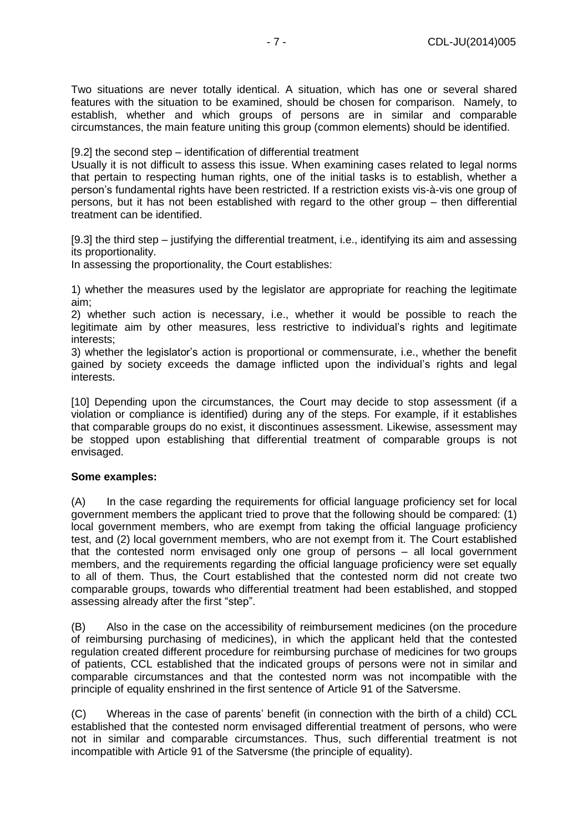Two situations are never totally identical. A situation, which has one or several shared features with the situation to be examined, should be chosen for comparison. Namely, to establish, whether and which groups of persons are in similar and comparable circumstances, the main feature uniting this group (common elements) should be identified.

[9.2] the second step – identification of differential treatment

Usually it is not difficult to assess this issue. When examining cases related to legal norms that pertain to respecting human rights, one of the initial tasks is to establish, whether a person's fundamental rights have been restricted. If a restriction exists vis-à-vis one group of persons, but it has not been established with regard to the other group – then differential treatment can be identified.

[9.3] the third step – justifying the differential treatment, i.e., identifying its aim and assessing its proportionality.

In assessing the proportionality, the Court establishes:

1) whether the measures used by the legislator are appropriate for reaching the legitimate aim;

2) whether such action is necessary, i.e., whether it would be possible to reach the legitimate aim by other measures, less restrictive to individual's rights and legitimate interests;

3) whether the legislator's action is proportional or commensurate, i.e., whether the benefit gained by society exceeds the damage inflicted upon the individual's rights and legal interests.

[10] Depending upon the circumstances, the Court may decide to stop assessment (if a violation or compliance is identified) during any of the steps. For example, if it establishes that comparable groups do no exist, it discontinues assessment. Likewise, assessment may be stopped upon establishing that differential treatment of comparable groups is not envisaged.

### **Some examples:**

(A) In the case regarding the requirements for official language proficiency set for local government members the applicant tried to prove that the following should be compared: (1) local government members, who are exempt from taking the official language proficiency test, and (2) local government members, who are not exempt from it. The Court established that the contested norm envisaged only one group of persons – all local government members, and the requirements regarding the official language proficiency were set equally to all of them. Thus, the Court established that the contested norm did not create two comparable groups, towards who differential treatment had been established, and stopped assessing already after the first "step".

(B) Also in the case on the accessibility of reimbursement medicines (on the procedure of reimbursing purchasing of medicines), in which the applicant held that the contested regulation created different procedure for reimbursing purchase of medicines for two groups of patients, CCL established that the indicated groups of persons were not in similar and comparable circumstances and that the contested norm was not incompatible with the principle of equality enshrined in the first sentence of Article 91 of the Satversme.

(C) Whereas in the case of parents' benefit (in connection with the birth of a child) CCL established that the contested norm envisaged differential treatment of persons, who were not in similar and comparable circumstances. Thus, such differential treatment is not incompatible with Article 91 of the Satversme (the principle of equality).